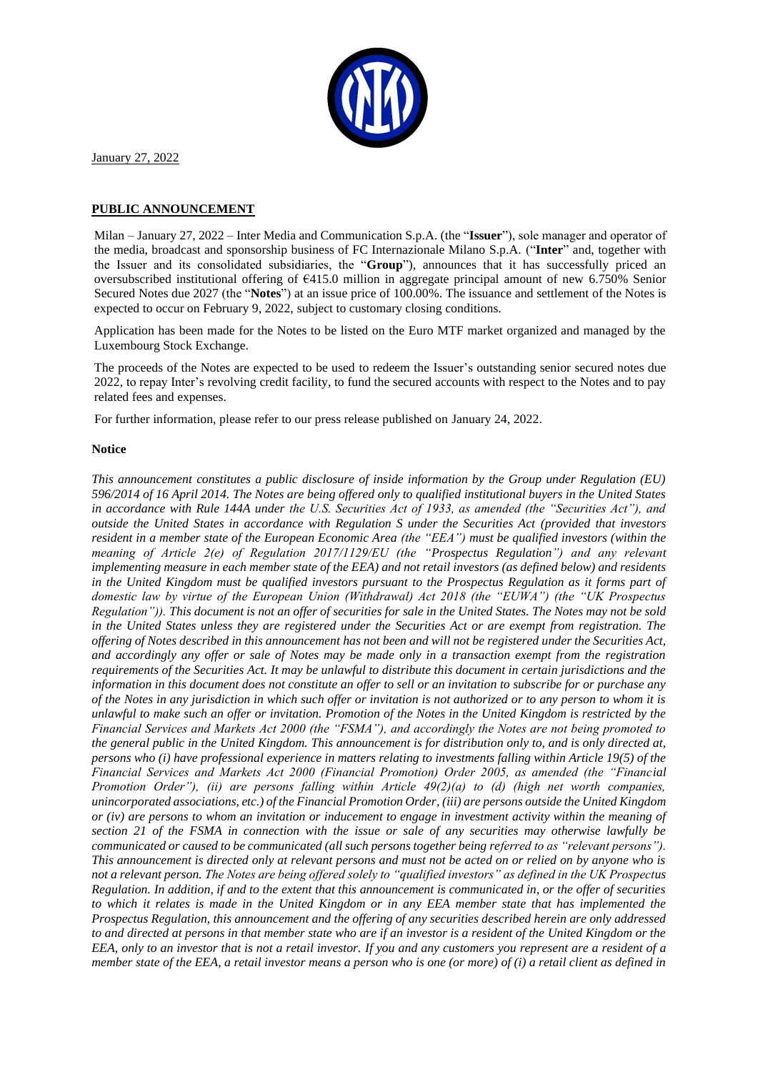

January 27, 2022

## **PUBLIC ANNOUNCEMENT**

Milan – January 27, 2022 – Inter Media and Communication S.p.A. (the "**Issuer**"), sole manager and operator of the media, broadcast and sponsorship business of FC Internazionale Milano S.p.A. ("**Inter**" and, together with the Issuer and its consolidated subsidiaries, the "**Group**"), announces that it has successfully priced an oversubscribed institutional offering of €415.0 million in aggregate principal amount of new 6.750% Senior Secured Notes due 2027 (the "**Notes**") at an issue price of 100.00%. The issuance and settlement of the Notes is expected to occur on February 9, 2022, subject to customary closing conditions.

Application has been made for the Notes to be listed on the Euro MTF market organized and managed by the Luxembourg Stock Exchange.

The proceeds of the Notes are expected to be used to redeem the Issuer's outstanding senior secured notes due 2022, to repay Inter's revolving credit facility, to fund the secured accounts with respect to the Notes and to pay related fees and expenses.

For further information, please refer to our press release published on January 24, 2022.

## **Notice**

*This announcement constitutes a public disclosure of inside information by the Group under Regulation (EU) 596/2014 of 16 April 2014. The Notes are being offered only to qualified institutional buyers in the United States in accordance with Rule 144A under the U.S. Securities Act of 1933, as amended (the "Securities Act"), and outside the United States in accordance with Regulation S under the Securities Act (provided that investors resident in a member state of the European Economic Area (the "EEA") must be qualified investors (within the meaning of Article 2(e) of Regulation 2017/1129/EU (the "Prospectus Regulation") and any relevant implementing measure in each member state of the EEA) and not retail investors (as defined below) and residents in the United Kingdom must be qualified investors pursuant to the Prospectus Regulation as it forms part of domestic law by virtue of the European Union (Withdrawal) Act 2018 (the "EUWA") (the "UK Prospectus Regulation")). This document is not an offer of securities for sale in the United States. The Notes may not be sold in the United States unless they are registered under the Securities Act or are exempt from registration. The offering of Notes described in this announcement has not been and will not be registered under the Securities Act, and accordingly any offer or sale of Notes may be made only in a transaction exempt from the registration requirements of the Securities Act. It may be unlawful to distribute this document in certain jurisdictions and the information in this document does not constitute an offer to sell or an invitation to subscribe for or purchase any of the Notes in any jurisdiction in which such offer or invitation is not authorized or to any person to whom it is unlawful to make such an offer or invitation. Promotion of the Notes in the United Kingdom is restricted by the Financial Services and Markets Act 2000 (the "FSMA"), and accordingly the Notes are not being promoted to the general public in the United Kingdom. This announcement is for distribution only to, and is only directed at, persons who (i) have professional experience in matters relating to investments falling within Article 19(5) of the Financial Services and Markets Act 2000 (Financial Promotion) Order 2005, as amended (the "Financial Promotion Order"), (ii) are persons falling within Article 49(2)(a) to (d) (high net worth companies, unincorporated associations, etc.) of the Financial Promotion Order, (iii) are persons outside the United Kingdom or (iv) are persons to whom an invitation or inducement to engage in investment activity within the meaning of section 21 of the FSMA in connection with the issue or sale of any securities may otherwise lawfully be communicated or caused to be communicated (all such persons together being referred to as "relevant persons"). This announcement is directed only at relevant persons and must not be acted on or relied on by anyone who is not a relevant person. The Notes are being offered solely to "qualified investors" as defined in the UK Prospectus Regulation. In addition, if and to the extent that this announcement is communicated in, or the offer of securities to which it relates is made in the United Kingdom or in any EEA member state that has implemented the Prospectus Regulation, this announcement and the offering of any securities described herein are only addressed to and directed at persons in that member state who are if an investor is a resident of the United Kingdom or the EEA, only to an investor that is not a retail investor. If you and any customers you represent are a resident of a member state of the EEA, a retail investor means a person who is one (or more) of (i) a retail client as defined in*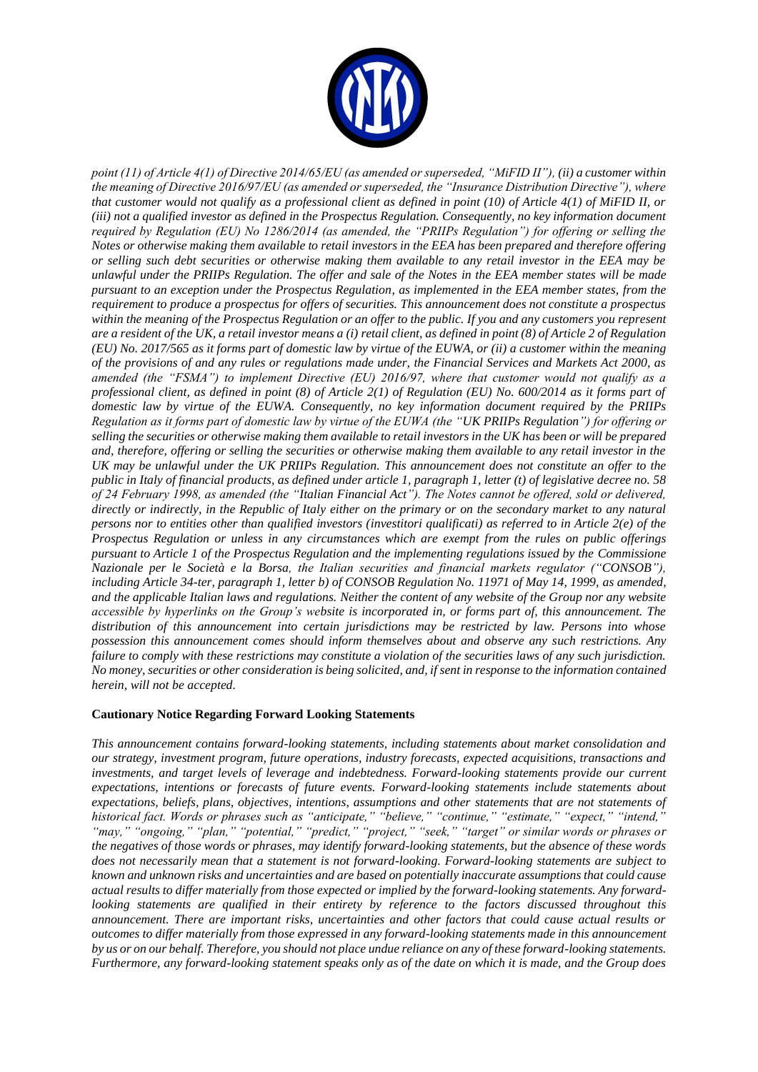

*point (11) of Article 4(1) of Directive 2014/65/EU (as amended or superseded, "MiFID II"), (ii) a customer within the meaning of Directive 2016/97/EU (as amended or superseded, the "Insurance Distribution Directive"), where that customer would not qualify as a professional client as defined in point (10) of Article 4(1) of MiFID II, or (iii) not a qualified investor as defined in the Prospectus Regulation. Consequently, no key information document required by Regulation (EU) No 1286/2014 (as amended, the "PRIIPs Regulation") for offering or selling the Notes or otherwise making them available to retail investors in the EEA has been prepared and therefore offering or selling such debt securities or otherwise making them available to any retail investor in the EEA may be unlawful under the PRIIPs Regulation. The offer and sale of the Notes in the EEA member states will be made pursuant to an exception under the Prospectus Regulation, as implemented in the EEA member states, from the requirement to produce a prospectus for offers of securities. This announcement does not constitute a prospectus within the meaning of the Prospectus Regulation or an offer to the public. If you and any customers you represent are a resident of the UK, a retail investor means a (i) retail client, as defined in point (8) of Article 2 of Regulation (EU) No. 2017/565 as it forms part of domestic law by virtue of the EUWA, or (ii) a customer within the meaning of the provisions of and any rules or regulations made under, the Financial Services and Markets Act 2000, as amended (the "FSMA") to implement Directive (EU) 2016/97, where that customer would not qualify as a professional client, as defined in point (8) of Article 2(1) of Regulation (EU) No. 600/2014 as it forms part of domestic law by virtue of the EUWA. Consequently, no key information document required by the PRIIPs Regulation as it forms part of domestic law by virtue of the EUWA (the "UK PRIIPs Regulation") for offering or selling the securities or otherwise making them available to retail investors in the UK has been or will be prepared and, therefore, offering or selling the securities or otherwise making them available to any retail investor in the UK may be unlawful under the UK PRIIPs Regulation. This announcement does not constitute an offer to the public in Italy of financial products, as defined under article 1, paragraph 1, letter (t) of legislative decree no. 58 of 24 February 1998, as amended (the "Italian Financial Act"). The Notes cannot be offered, sold or delivered, directly or indirectly, in the Republic of Italy either on the primary or on the secondary market to any natural persons nor to entities other than qualified investors (investitori qualificati) as referred to in Article 2(e) of the Prospectus Regulation or unless in any circumstances which are exempt from the rules on public offerings pursuant to Article 1 of the Prospectus Regulation and the implementing regulations issued by the Commissione Nazionale per le Società e la Borsa, the Italian securities and financial markets regulator ("CONSOB"), including Article 34-ter, paragraph 1, letter b) of CONSOB Regulation No. 11971 of May 14, 1999, as amended, and the applicable Italian laws and regulations. Neither the content of any website of the Group nor any website accessible by hyperlinks on the Group's website is incorporated in, or forms part of, this announcement. The distribution of this announcement into certain jurisdictions may be restricted by law. Persons into whose possession this announcement comes should inform themselves about and observe any such restrictions. Any failure to comply with these restrictions may constitute a violation of the securities laws of any such jurisdiction. No money, securities or other consideration is being solicited, and, if sent in response to the information contained herein, will not be accepted.*

## **Cautionary Notice Regarding Forward Looking Statements**

*This announcement contains forward-looking statements, including statements about market consolidation and our strategy, investment program, future operations, industry forecasts, expected acquisitions, transactions and investments, and target levels of leverage and indebtedness. Forward-looking statements provide our current expectations, intentions or forecasts of future events. Forward-looking statements include statements about expectations, beliefs, plans, objectives, intentions, assumptions and other statements that are not statements of historical fact. Words or phrases such as "anticipate," "believe," "continue," "estimate," "expect," "intend," "may," "ongoing," "plan," "potential," "predict," "project," "seek," "target" or similar words or phrases or the negatives of those words or phrases, may identify forward-looking statements, but the absence of these words does not necessarily mean that a statement is not forward-looking. Forward-looking statements are subject to known and unknown risks and uncertainties and are based on potentially inaccurate assumptions that could cause actual results to differ materially from those expected or implied by the forward-looking statements. Any forwardlooking statements are qualified in their entirety by reference to the factors discussed throughout this announcement. There are important risks, uncertainties and other factors that could cause actual results or outcomes to differ materially from those expressed in any forward-looking statements made in this announcement by us or on our behalf. Therefore, you should not place undue reliance on any of these forward-looking statements. Furthermore, any forward-looking statement speaks only as of the date on which it is made, and the Group does*